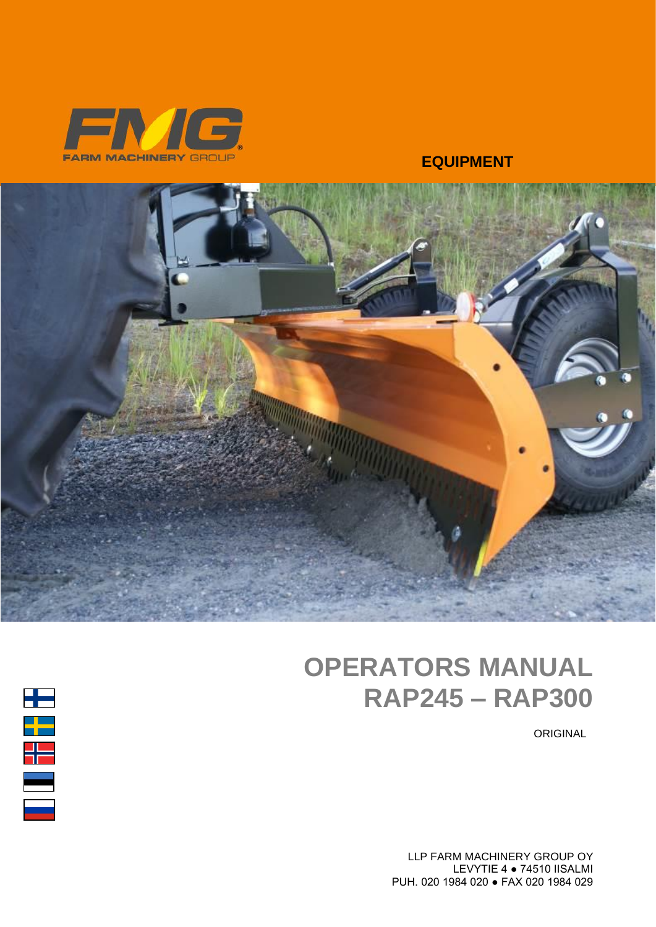

#### **EQUIPMENT**



# OPERATORS MANUAL RAP245 – RAP300

ORIGINAL

LLP FARM MACHINERY GROUP OY LEVYTIE 4 ● 74510 IISALMI PUH. 020 1984 020 ● FAX 020 1984 029

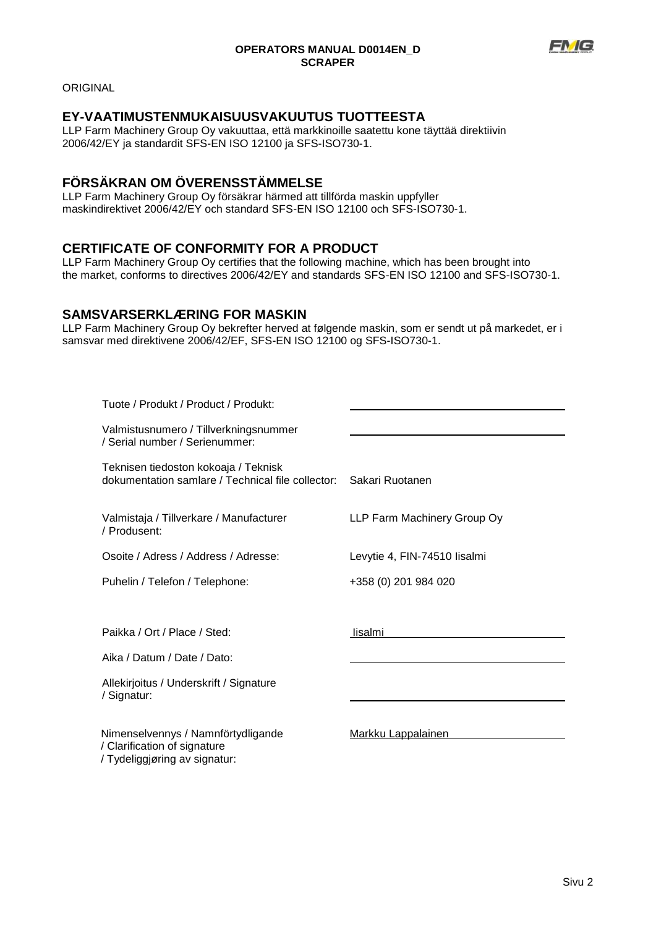

ORIGINAL

#### **EY-VAATIMUSTENMUKAISUUSVAKUUTUS TUOTTEESTA**

LLP Farm Machinery Group Oy vakuuttaa, että markkinoille saatettu kone täyttää direktiivin 2006/42/EY ja standardit SFS-EN ISO 12100 ja SFS-ISO730-1.

#### **FÖRSÄKRAN OM ÖVERENSSTÄMMELSE**

LLP Farm Machinery Group Oy försäkrar härmed att tillförda maskin uppfyller maskindirektivet 2006/42/EY och standard SFS-EN ISO 12100 och SFS-ISO730-1.

#### **CERTIFICATE OF CONFORMITY FOR A PRODUCT**

LLP Farm Machinery Group Oy certifies that the following machine, which has been brought into the market, conforms to directives 2006/42/EY and standards SFS-EN ISO 12100 and SFS-ISO730-1.

#### **SAMSVARSERKLÆRING FOR MASKIN**

LLP Farm Machinery Group Oy bekrefter herved at følgende maskin, som er sendt ut på markedet, er i samsvar med direktivene 2006/42/EF, SFS-EN ISO 12100 og SFS-ISO730-1.

| Tuote / Produkt / Product / Produkt:                                                                |                              |
|-----------------------------------------------------------------------------------------------------|------------------------------|
| Valmistusnumero / Tillverkningsnummer<br>/ Serial number / Serienummer:                             |                              |
| Teknisen tiedoston kokoaja / Teknisk<br>dokumentation samlare / Technical file collector:           | Sakari Ruotanen              |
| Valmistaja / Tillverkare / Manufacturer<br>/ Produsent:                                             | LLP Farm Machinery Group Oy  |
| Osoite / Adress / Address / Adresse:                                                                | Levytie 4, FIN-74510 lisalmi |
| Puhelin / Telefon / Telephone:                                                                      | +358 (0) 201 984 020         |
|                                                                                                     |                              |
| Paikka / Ort / Place / Sted:                                                                        | lisalmi                      |
| Aika / Datum / Date / Dato:                                                                         |                              |
| Allekirjoitus / Underskrift / Signature<br>/ Signatur:                                              |                              |
| Nimenselvennys / Namnförtydligande<br>/ Clarification of signature<br>/ Tydeliggjøring av signatur: | Markku Lappalainen           |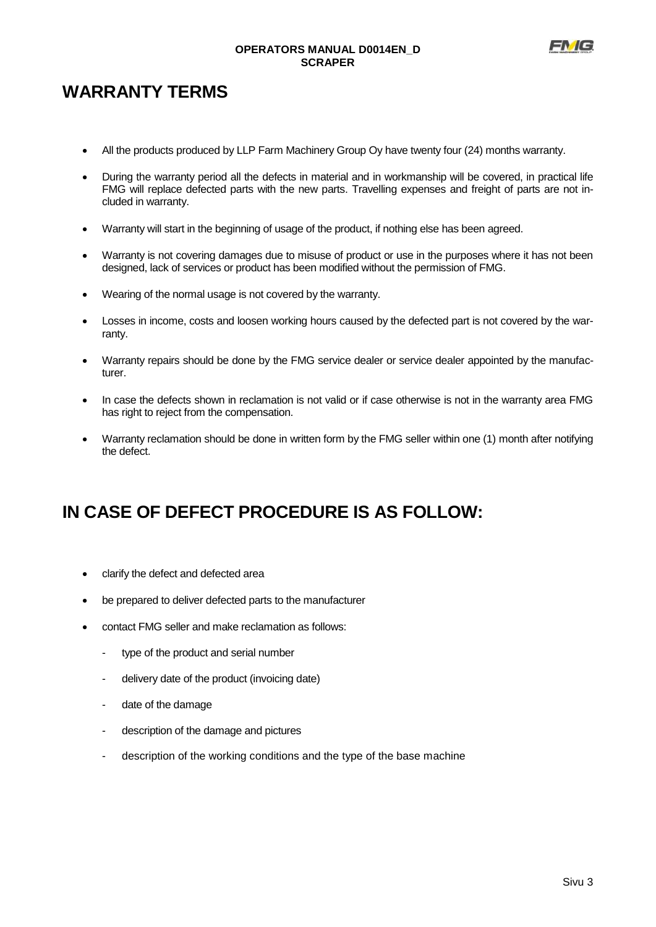

# **WARRANTY TERMS**

- All the products produced by LLP Farm Machinery Group Oy have twenty four (24) months warranty.
- During the warranty period all the defects in material and in workmanship will be covered, in practical life FMG will replace defected parts with the new parts. Travelling expenses and freight of parts are not included in warranty.
- Warranty will start in the beginning of usage of the product, if nothing else has been agreed.
- Warranty is not covering damages due to misuse of product or use in the purposes where it has not been designed, lack of services or product has been modified without the permission of FMG.
- Wearing of the normal usage is not covered by the warranty.
- Losses in income, costs and loosen working hours caused by the defected part is not covered by the warranty.
- Warranty repairs should be done by the FMG service dealer or service dealer appointed by the manufacturer.
- In case the defects shown in reclamation is not valid or if case otherwise is not in the warranty area FMG has right to reject from the compensation.
- Warranty reclamation should be done in written form by the FMG seller within one (1) month after notifying the defect.

# **IN CASE OF DEFECT PROCEDURE IS AS FOLLOW:**

- clarify the defect and defected area
- be prepared to deliver defected parts to the manufacturer
- contact FMG seller and make reclamation as follows:
	- type of the product and serial number
	- delivery date of the product (invoicing date)
	- date of the damage
	- description of the damage and pictures
	- description of the working conditions and the type of the base machine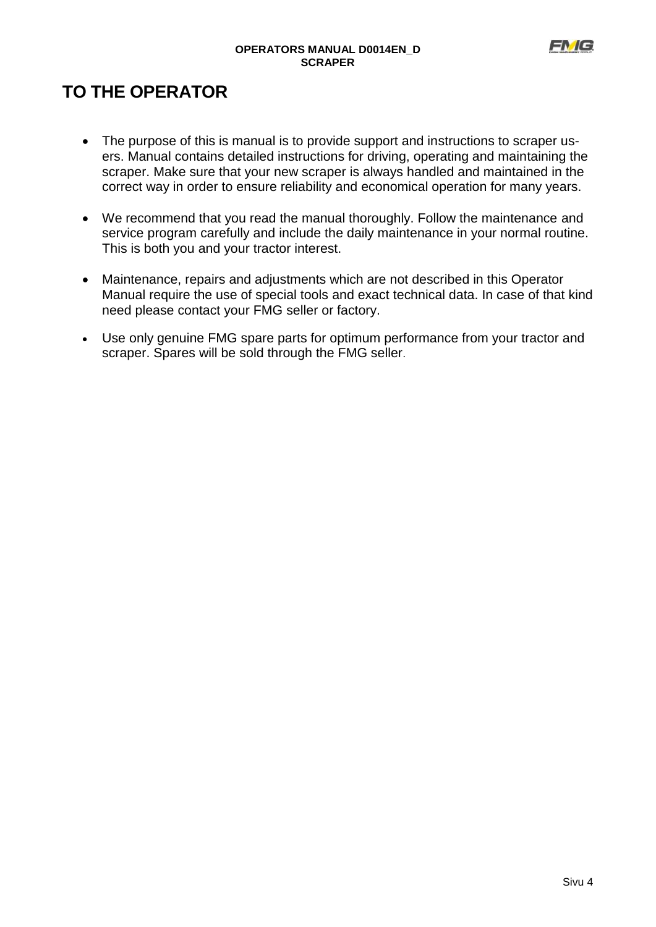

# **TO THE OPERATOR**

- The purpose of this is manual is to provide support and instructions to scraper users. Manual contains detailed instructions for driving, operating and maintaining the scraper. Make sure that your new scraper is always handled and maintained in the correct way in order to ensure reliability and economical operation for many years.
- We recommend that you read the manual thoroughly. Follow the maintenance and service program carefully and include the daily maintenance in your normal routine. This is both you and your tractor interest.
- Maintenance, repairs and adjustments which are not described in this Operator Manual require the use of special tools and exact technical data. In case of that kind need please contact your FMG seller or factory.
- Use only genuine FMG spare parts for optimum performance from your tractor and scraper. Spares will be sold through the FMG seller.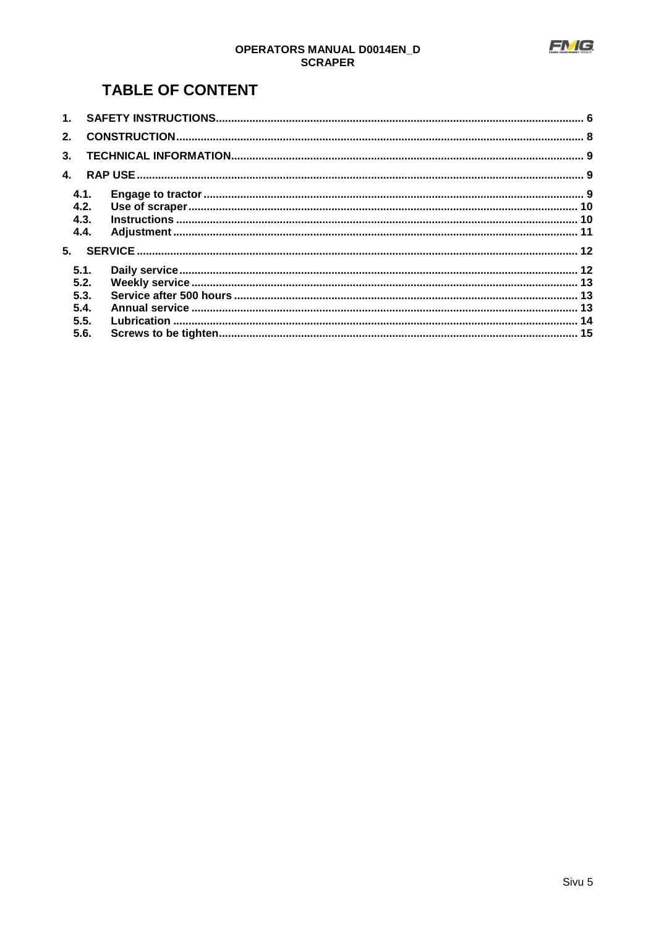

# **OPERATORS MANUAL D0014EN\_D**<br>SCRAPER

## **TABLE OF CONTENT**

| 2.             |      |  |  |  |  |
|----------------|------|--|--|--|--|
| 3 <sub>1</sub> |      |  |  |  |  |
| $\mathbf{A}$   |      |  |  |  |  |
| 4.1.           |      |  |  |  |  |
| 4.2.           |      |  |  |  |  |
| 4.3.           |      |  |  |  |  |
| 4.4.           |      |  |  |  |  |
|                |      |  |  |  |  |
|                | 5.1. |  |  |  |  |
|                | 5.2. |  |  |  |  |
| 5.3.           |      |  |  |  |  |
| 5.4.           |      |  |  |  |  |
| 5.5.           |      |  |  |  |  |
| 5.6.           |      |  |  |  |  |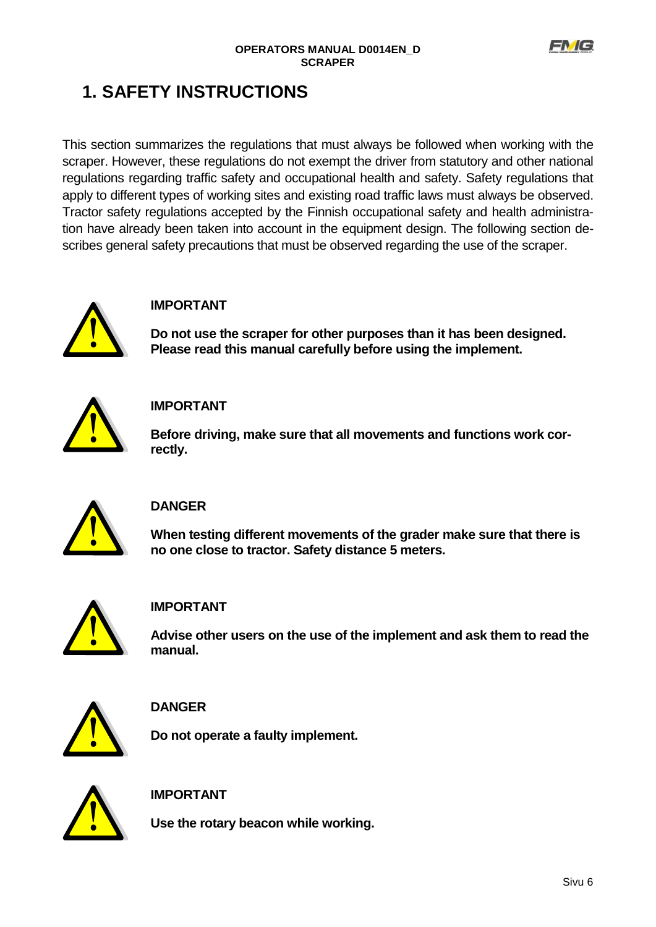

# <span id="page-5-0"></span>**1. SAFETY INSTRUCTIONS**

This section summarizes the regulations that must always be followed when working with the scraper. However, these regulations do not exempt the driver from statutory and other national regulations regarding traffic safety and occupational health and safety. Safety regulations that apply to different types of working sites and existing road traffic laws must always be observed. Tractor safety regulations accepted by the Finnish occupational safety and health administration have already been taken into account in the equipment design. The following section describes general safety precautions that must be observed regarding the use of the scraper.



#### **IMPORTANT**

**Do not use the scraper for other purposes than it has been designed. Please read this manual carefully before using the implement.**



### **IMPORTANT**

**Before driving, make sure that all movements and functions work correctly.** 



### **DANGER**

**When testing different movements of the grader make sure that there is no one close to tractor. Safety distance 5 meters.**



#### **IMPORTANT**

**Advise other users on the use of the implement and ask them to read the manual.** 



### **DANGER**

**Do not operate a faulty implement.**



**IMPORTANT**

**Use the rotary beacon while working.**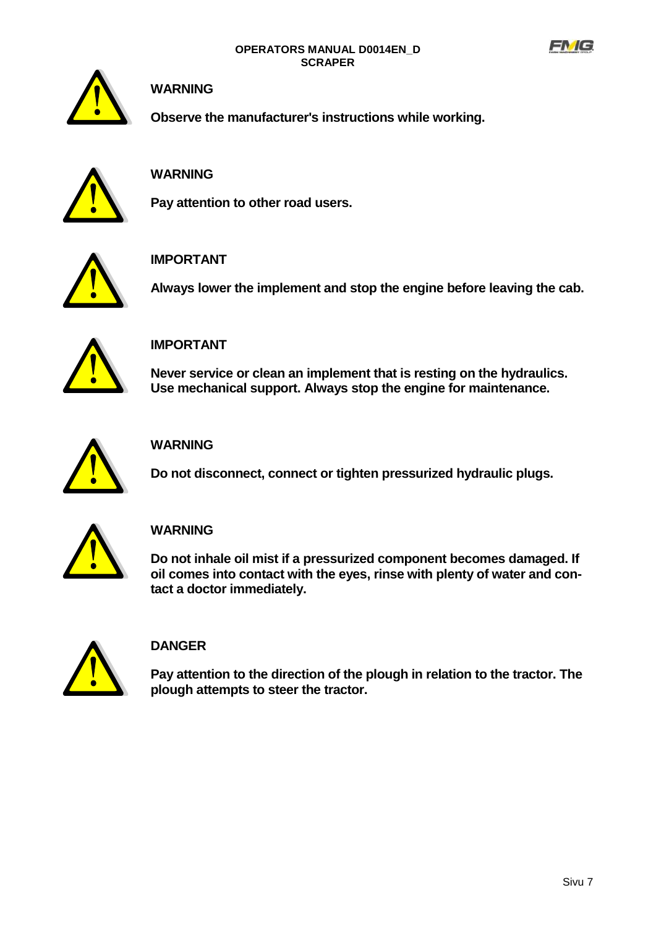



#### **WARNING**

**Observe the manufacturer's instructions while working.**



### **WARNING**

**Pay attention to other road users.**



### **IMPORTANT**

**Always lower the implement and stop the engine before leaving the cab.**



#### **IMPORTANT**

**Never service or clean an implement that is resting on the hydraulics. Use mechanical support. Always stop the engine for maintenance.**



### **WARNING**

**Do not disconnect, connect or tighten pressurized hydraulic plugs.** 



### **WARNING**

**Do not inhale oil mist if a pressurized component becomes damaged. If oil comes into contact with the eyes, rinse with plenty of water and contact a doctor immediately.**



### **DANGER**

**Pay attention to the direction of the plough in relation to the tractor. The plough attempts to steer the tractor.**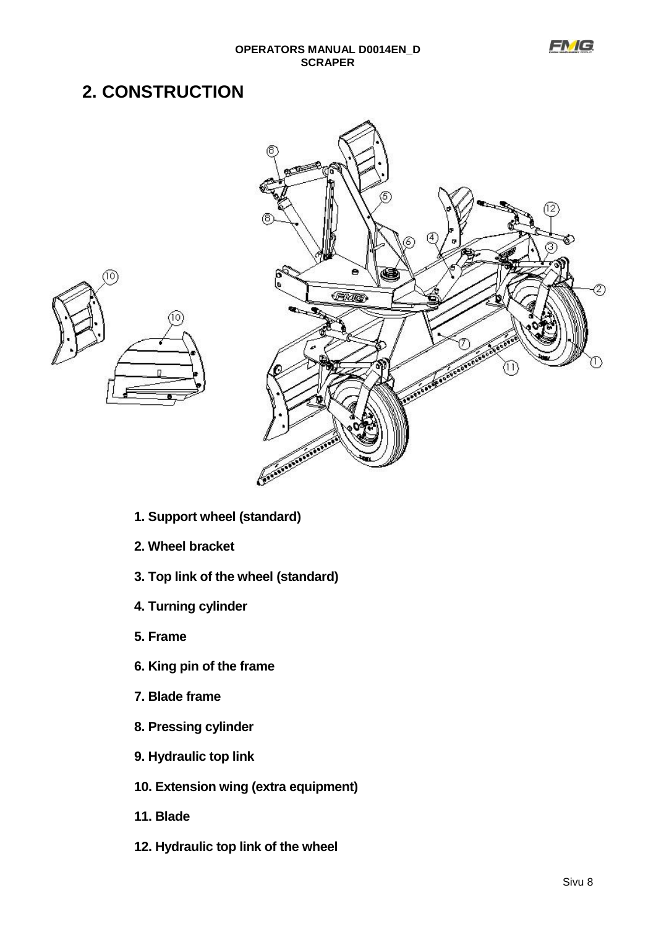# <span id="page-7-0"></span>**2. CONSTRUCTION**



- **1. Support wheel (standard)**
- **2. Wheel bracket**
- **3. Top link of the wheel (standard)**
- **4. Turning cylinder**
- **5. Frame**
- **6. King pin of the frame**
- **7. Blade frame**
- **8. Pressing cylinder**
- **9. Hydraulic top link**
- **10. Extension wing (extra equipment)**
- **11. Blade**
- **12. Hydraulic top link of the wheel**

**FNG**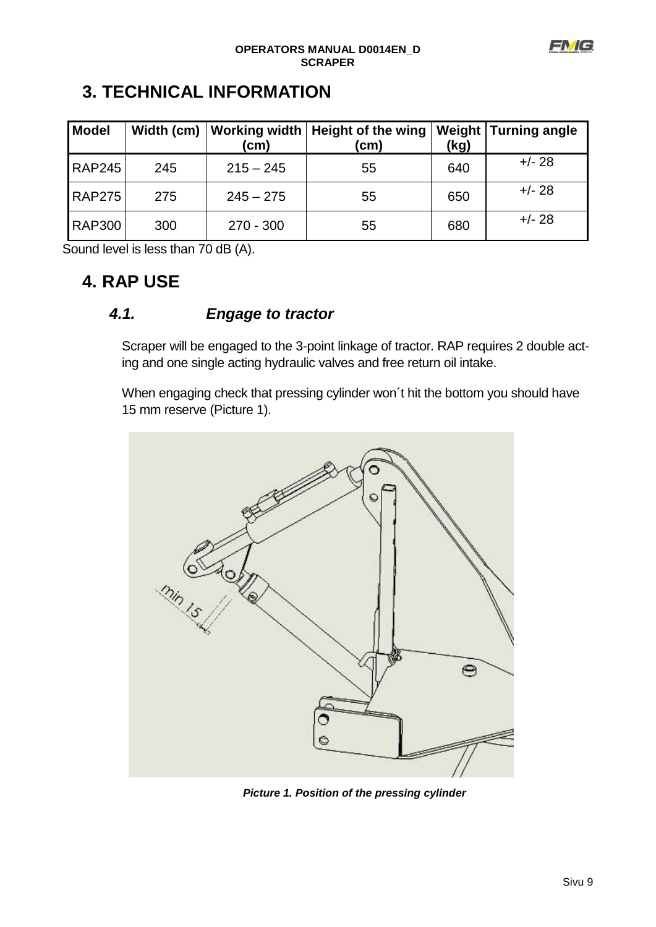

# <span id="page-8-0"></span>**3. TECHNICAL INFORMATION**

| <b>Model</b>  | Width (cm) | (cm)        | Working width   Height of the wing<br>(cm) | (kg) | <b>Weight Turning angle</b> |
|---------------|------------|-------------|--------------------------------------------|------|-----------------------------|
| <b>RAP245</b> | 245        | $215 - 245$ | 55                                         | 640  | $+/- 28$                    |
| <b>RAP275</b> | 275        | $245 - 275$ | 55                                         | 650  | $+/- 28$                    |
| <b>RAP300</b> | 300        | $270 - 300$ | 55                                         | 680  | $+/- 28$                    |

Sound level is less than 70 dB (A).

## <span id="page-8-1"></span>**4. RAP USE**

## *4.1. Engage to tractor*

<span id="page-8-2"></span>Scraper will be engaged to the 3-point linkage of tractor. RAP requires 2 double acting and one single acting hydraulic valves and free return oil intake.

When engaging check that pressing cylinder won´t hit the bottom you should have 15 mm reserve (Picture 1).



*Picture 1. Position of the pressing cylinder*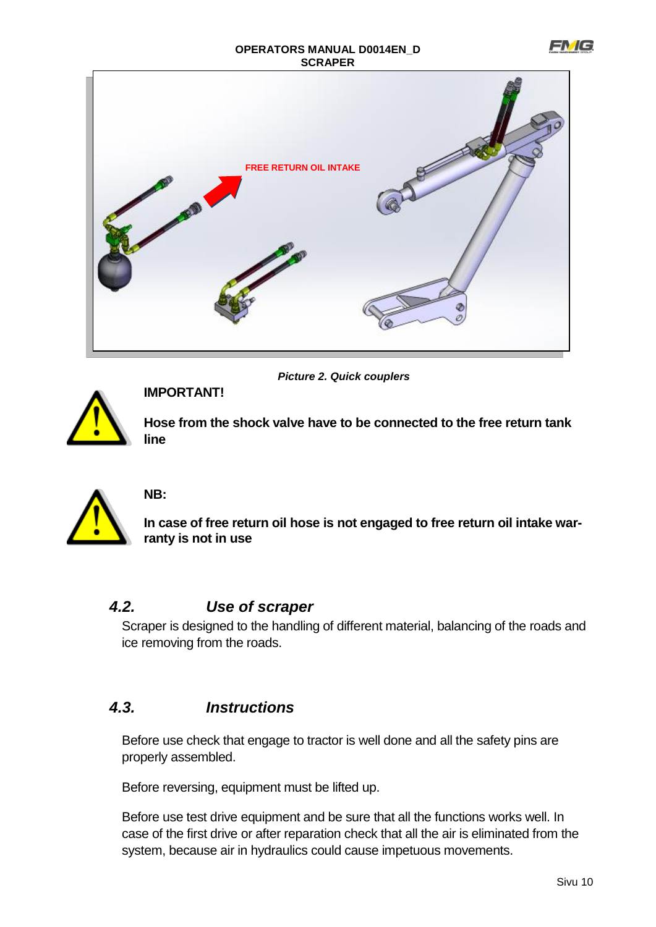



*Picture 2. Quick couplers* **IMPORTANT!**

**Hose from the shock valve have to be connected to the free return tank line**



## **NB:**

**In case of free return oil hose is not engaged to free return oil intake warranty is not in use**

### <span id="page-9-0"></span>*4.2. Use of scraper*

Scraper is designed to the handling of different material, balancing of the roads and ice removing from the roads.

## <span id="page-9-1"></span>*4.3. Instructions*

Before use check that engage to tractor is well done and all the safety pins are properly assembled.

Before reversing, equipment must be lifted up.

Before use test drive equipment and be sure that all the functions works well. In case of the first drive or after reparation check that all the air is eliminated from the system, because air in hydraulics could cause impetuous movements.

FN G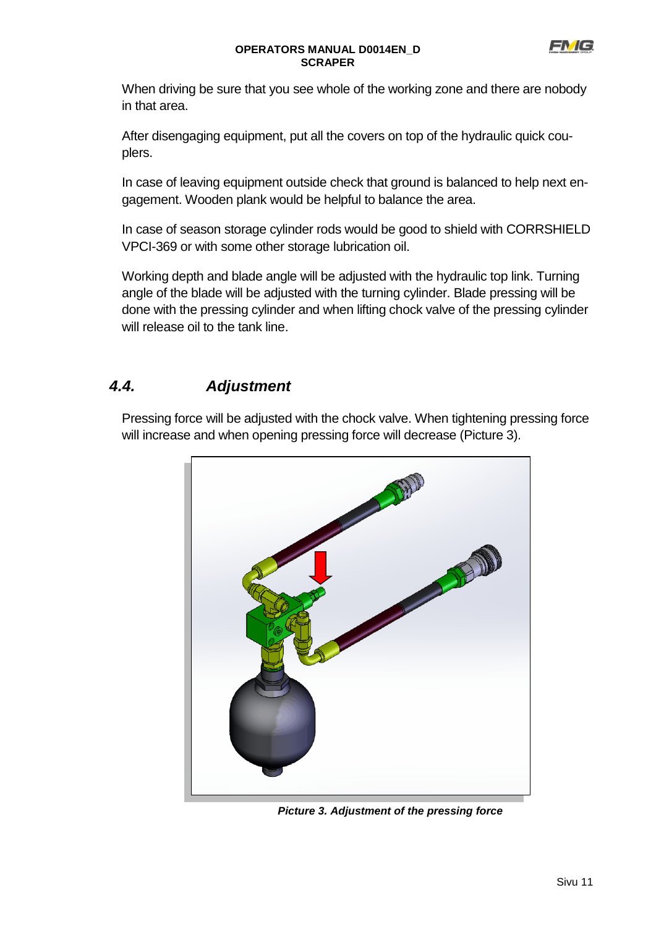

When driving be sure that you see whole of the working zone and there are nobody in that area.

After disengaging equipment, put all the covers on top of the hydraulic quick couplers.

In case of leaving equipment outside check that ground is balanced to help next engagement. Wooden plank would be helpful to balance the area.

In case of season storage cylinder rods would be good to shield with CORRSHIELD VPCI-369 or with some other storage lubrication oil.

Working depth and blade angle will be adjusted with the hydraulic top link. Turning angle of the blade will be adjusted with the turning cylinder. Blade pressing will be done with the pressing cylinder and when lifting chock valve of the pressing cylinder will release oil to the tank line.

## <span id="page-10-0"></span>*4.4. Adjustment*

Pressing force will be adjusted with the chock valve. When tightening pressing force will increase and when opening pressing force will decrease (Picture 3).



*Picture 3. Adjustment of the pressing force*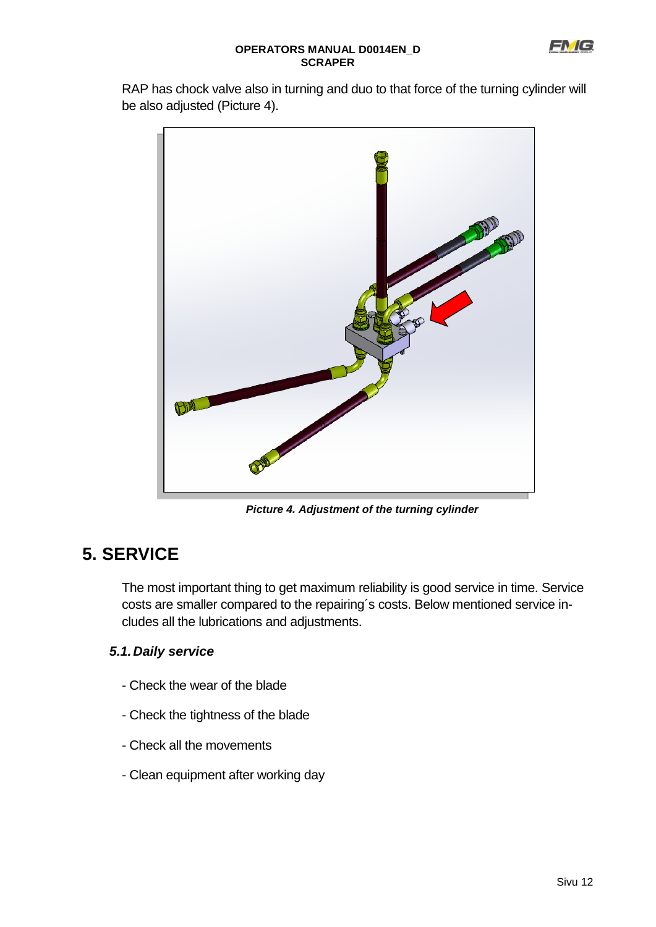RAP has chock valve also in turning and duo to that force of the turning cylinder will be also adjusted (Picture 4).



*Picture 4. Adjustment of the turning cylinder*

# <span id="page-11-0"></span>**5. SERVICE**

The most important thing to get maximum reliability is good service in time. Service costs are smaller compared to the repairing´s costs. Below mentioned service includes all the lubrications and adjustments.

### <span id="page-11-1"></span>*5.1.Daily service*

- Check the wear of the blade
- Check the tightness of the blade
- Check all the movements
- Clean equipment after working day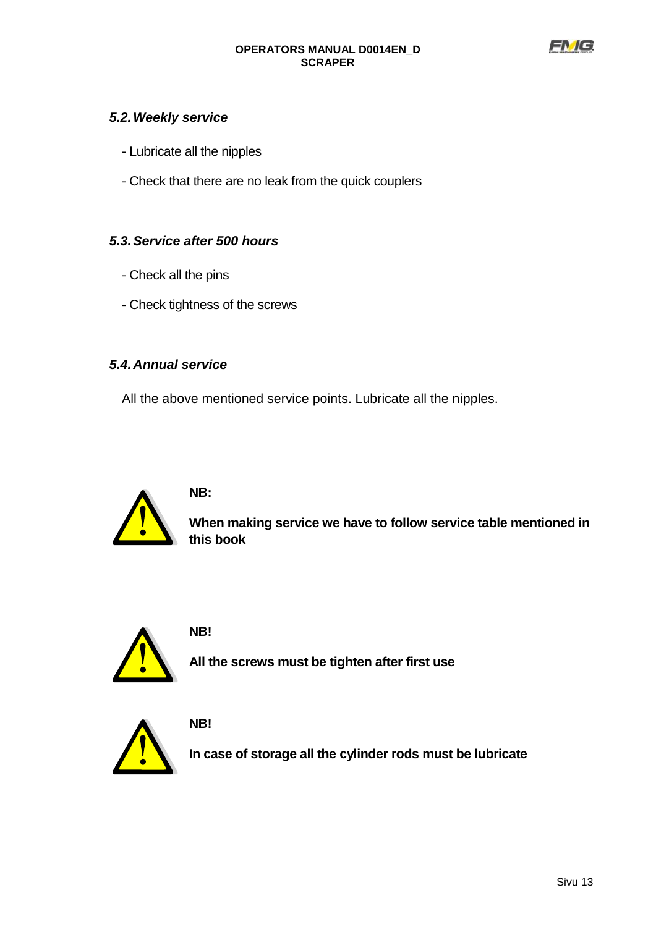

#### <span id="page-12-0"></span>*5.2.Weekly service*

- Lubricate all the nipples
- Check that there are no leak from the quick couplers

#### <span id="page-12-1"></span>*5.3.Service after 500 hours*

- Check all the pins
- Check tightness of the screws

#### <span id="page-12-2"></span>*5.4.Annual service*

All the above mentioned service points. Lubricate all the nipples.



#### **NB:**

**When making service we have to follow service table mentioned in this book**



#### **NB!**

**All the screws must be tighten after first use**



**NB!**

**In case of storage all the cylinder rods must be lubricate**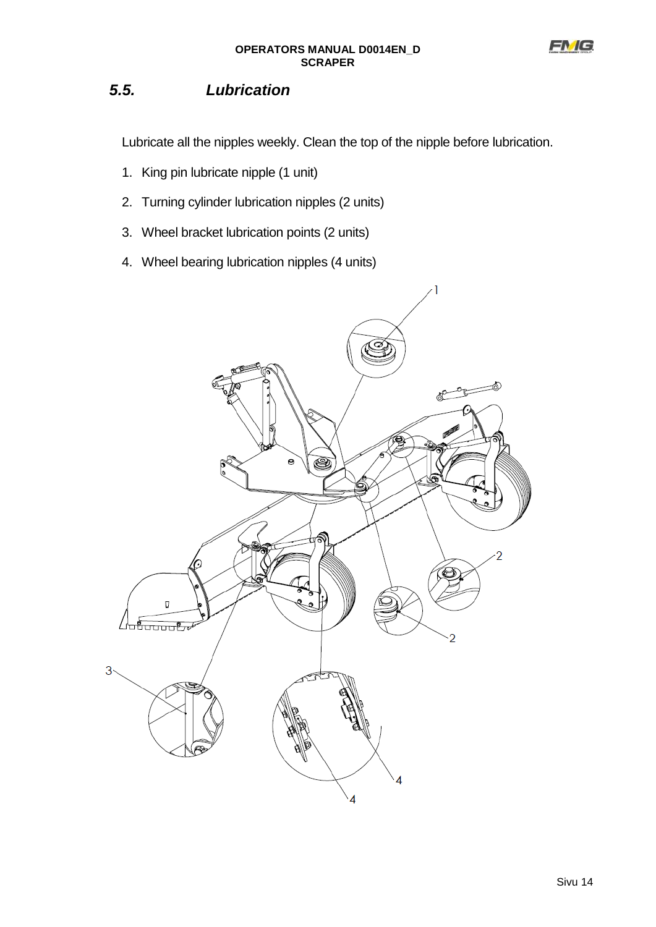

## <span id="page-13-0"></span>*5.5. Lubrication*

Lubricate all the nipples weekly. Clean the top of the nipple before lubrication.

- 1. King pin lubricate nipple (1 unit)
- 2. Turning cylinder lubrication nipples (2 units)
- 3. Wheel bracket lubrication points (2 units)
- 4. Wheel bearing lubrication nipples (4 units)

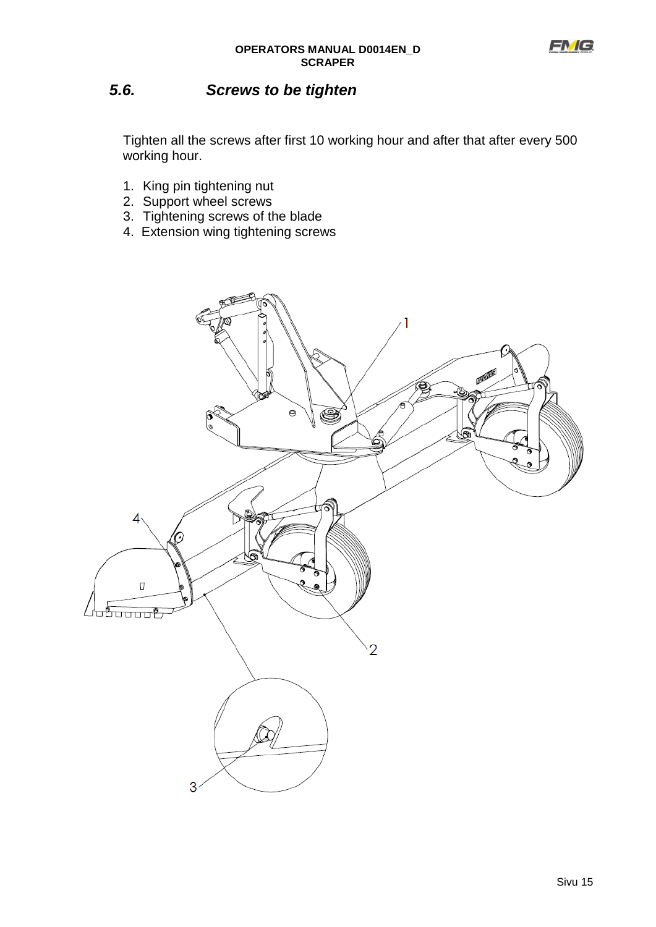

## <span id="page-14-0"></span>*5.6. Screws to be tighten*

Tighten all the screws after first 10 working hour and after that after every 500 working hour.

- 1. King pin tightening nut
- 2. Support wheel screws
- 3. Tightening screws of the blade
- 4. Extension wing tightening screws